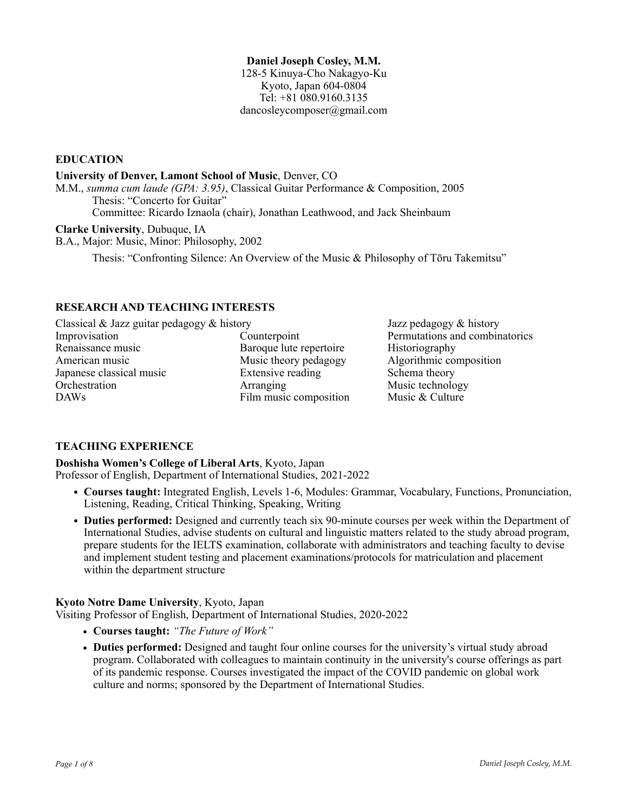### **Daniel Joseph Cosley, M.M.**

128-5 Kinuya-Cho Nakagyo-Ku Kyoto, Japan 604-0804 Tel: +81 080.9160.3135 dancosleycomposer@gmail.com

**EDUCATION**

### **University of Denver, Lamont School of Music**, Denver, CO

M.M., *summa cum laude (GPA: 3.95)*, Classical Guitar Performance & Composition, 2005 Thesis: "Concerto for Guitar"

Committee: Ricardo Iznaola (chair), Jonathan Leathwood, and Jack Sheinbaum

### **Clarke University**, Dubuque, IA

B.A., Major: Music, Minor: Philosophy, 2002

Thesis: "Confronting Silence: An Overview of the Music & Philosophy of Tōru Takemitsu"

## **RESEARCH AND TEACHING INTERESTS**

Classical & Jazz guitar pedagogy & history Jazz pedagogy & history Improvisation Counterpoint Permutations and combinatorics Renaissance music **Baroque lute repertoire** Historiography American music Music theory pedagogy Algorithmic composition Japanese classical music Extensive reading Schema theory Orchestration **Arranging** Music technology DAWs Film music composition Music & Culture

# **TEACHING EXPERIENCE**

**Doshisha Women's College of Liberal Arts**, Kyoto, Japan Professor of English, Department of International Studies, 2021-2022

- **• Courses taught:** Integrated English, Levels 1-6, Modules: Grammar, Vocabulary, Functions, Pronunciation, Listening, Reading, Critical Thinking, Speaking, Writing
- **• Duties performed:** Designed and currently teach six 90-minute courses per week within the Department of International Studies, advise students on cultural and linguistic matters related to the study abroad program, prepare students for the IELTS examination, collaborate with administrators and teaching faculty to devise and implement student testing and placement examinations/protocols for matriculation and placement within the department structure

## **Kyoto Notre Dame University**, Kyoto, Japan

Visiting Professor of English, Department of International Studies, 2020-2022

- **• Courses taught:** *"The Future of Work"*
- **Duties performed:** Designed and taught four online courses for the university's virtual study abroad program. Collaborated with colleagues to maintain continuity in the university's course offerings as part of its pandemic response. Courses investigated the impact of the COVID pandemic on global work culture and norms; sponsored by the Department of International Studies.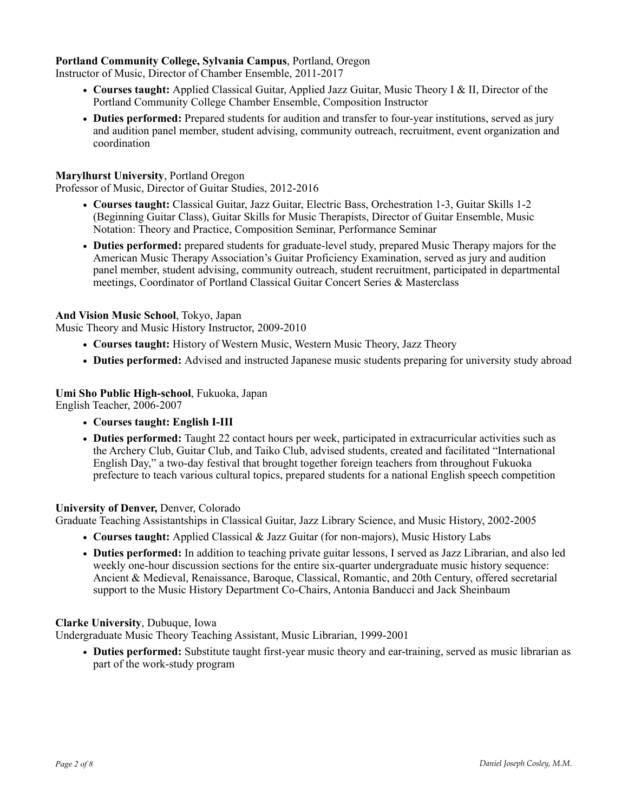## **Portland Community College, Sylvania Campus**, Portland, Oregon

Instructor of Music, Director of Chamber Ensemble, 2011-2017

- **• Courses taught:** Applied Classical Guitar, Applied Jazz Guitar, Music Theory I & II, Director of the Portland Community College Chamber Ensemble, Composition Instructor
- **• Duties performed:** Prepared students for audition and transfer to four-year institutions, served as jury and audition panel member, student advising, community outreach, recruitment, event organization and coordination

### **Marylhurst University**, Portland Oregon

Professor of Music, Director of Guitar Studies, 2012-2016

- **• Courses taught:** Classical Guitar, Jazz Guitar, Electric Bass, Orchestration 1-3, Guitar Skills 1-2 (Beginning Guitar Class), Guitar Skills for Music Therapists, Director of Guitar Ensemble, Music Notation: Theory and Practice, Composition Seminar, Performance Seminar
- **• Duties performed:** prepared students for graduate-level study, prepared Music Therapy majors for the American Music Therapy Association's Guitar Proficiency Examination, served as jury and audition panel member, student advising, community outreach, student recruitment, participated in departmental meetings, Coordinator of Portland Classical Guitar Concert Series & Masterclass

### **And Vision Music School**, Tokyo, Japan

Music Theory and Music History Instructor, 2009-2010

- **• Courses taught:** History of Western Music, Western Music Theory, Jazz Theory
- **• Duties performed:** Advised and instructed Japanese music students preparing for university study abroad

# **Umi Sho Public High-school**, Fukuoka, Japan

English Teacher, 2006-2007

- **• Courses taught: English I-III**
- **• Duties performed:** Taught 22 contact hours per week, participated in extracurricular activities such as the Archery Club, Guitar Club, and Taiko Club, advised students, created and facilitated "International English Day," a two-day festival that brought together foreign teachers from throughout Fukuoka prefecture to teach various cultural topics, prepared students for a national English speech competition

#### **University of Denver,** Denver, Colorado

Graduate Teaching Assistantships in Classical Guitar, Jazz Library Science, and Music History, 2002-2005

- **• Courses taught:** Applied Classical & Jazz Guitar (for non-majors), Music History Labs
- **• Duties performed:** In addition to teaching private guitar lessons, I served as Jazz Librarian, and also led weekly one-hour discussion sections for the entire six-quarter undergraduate music history sequence: Ancient & Medieval, Renaissance, Baroque, Classical, Romantic, and 20th Century, offered secretarial support to the Music History Department Co-Chairs, Antonia Banducci and Jack Sheinbaum

#### **Clarke University**, Dubuque, Iowa

Undergraduate Music Theory Teaching Assistant, Music Librarian, 1999-2001

**• Duties performed:** Substitute taught first-year music theory and ear-training, served as music librarian as part of the work-study program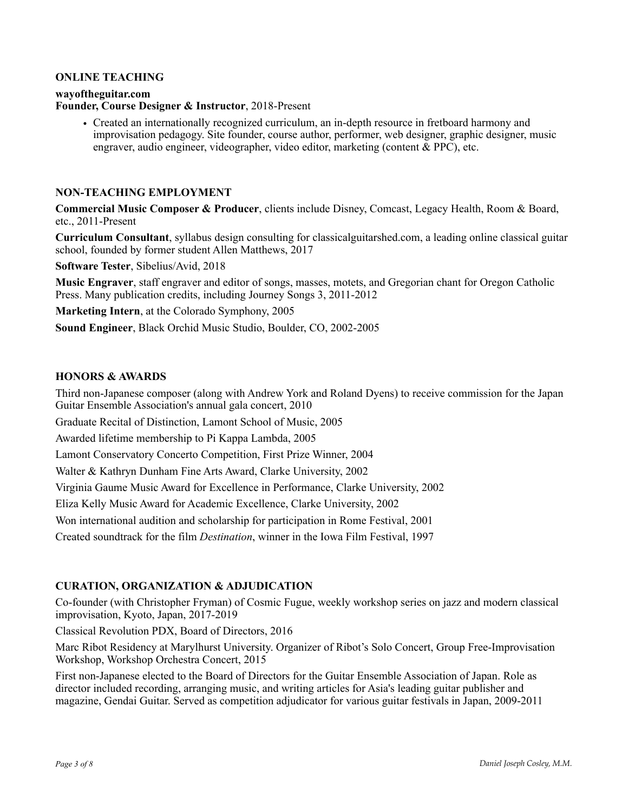### **ONLINE TEACHING**

#### **wayoftheguitar.com**

**Founder, Course Designer & Instructor**, 2018-Present

• Created an internationally recognized curriculum, an in-depth resource in fretboard harmony and improvisation pedagogy. Site founder, course author, performer, web designer, graphic designer, music engraver, audio engineer, videographer, video editor, marketing (content & PPC), etc.

#### **NON-TEACHING EMPLOYMENT**

**Commercial Music Composer & Producer**, clients include Disney, Comcast, Legacy Health, Room & Board, etc., 2011-Present

**Curriculum Consultant**, syllabus design consulting for classicalguitarshed.com, a leading online classical guitar school, founded by former student Allen Matthews, 2017

**Software Tester**, Sibelius/Avid, 2018

**Music Engraver**, staff engraver and editor of songs, masses, motets, and Gregorian chant for Oregon Catholic Press. Many publication credits, including Journey Songs 3, 2011-2012

**Marketing Intern**, at the Colorado Symphony, 2005

**Sound Engineer**, Black Orchid Music Studio, Boulder, CO, 2002-2005

#### **HONORS & AWARDS**

Third non-Japanese composer (along with Andrew York and Roland Dyens) to receive commission for the Japan Guitar Ensemble Association's annual gala concert, 2010

Graduate Recital of Distinction, Lamont School of Music, 2005

Awarded lifetime membership to Pi Kappa Lambda, 2005

Lamont Conservatory Concerto Competition, First Prize Winner, 2004

Walter & Kathryn Dunham Fine Arts Award, Clarke University, 2002

Virginia Gaume Music Award for Excellence in Performance, Clarke University, 2002

Eliza Kelly Music Award for Academic Excellence, Clarke University, 2002

Won international audition and scholarship for participation in Rome Festival, 2001

Created soundtrack for the film *Destination*, winner in the Iowa Film Festival, 1997

### **CURATION, ORGANIZATION & ADJUDICATION**

Co-founder (with Christopher Fryman) of Cosmic Fugue, weekly workshop series on jazz and modern classical improvisation, Kyoto, Japan, 2017-2019

Classical Revolution PDX, Board of Directors, 2016

Marc Ribot Residency at Marylhurst University. Organizer of Ribot's Solo Concert, Group Free-Improvisation Workshop, Workshop Orchestra Concert, 2015

First non-Japanese elected to the Board of Directors for the Guitar Ensemble Association of Japan. Role as director included recording, arranging music, and writing articles for Asia's leading guitar publisher and magazine, Gendai Guitar. Served as competition adjudicator for various guitar festivals in Japan, 2009-2011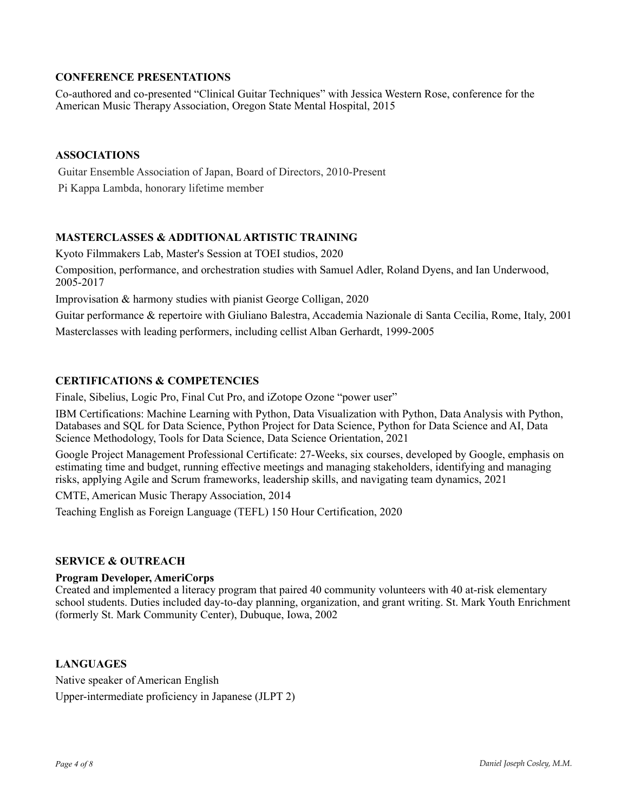# **CONFERENCE PRESENTATIONS**

Co-authored and co-presented "Clinical Guitar Techniques" with Jessica Western Rose, conference for the American Music Therapy Association, Oregon State Mental Hospital, 2015

## **ASSOCIATIONS**

 Guitar Ensemble Association of Japan, Board of Directors, 2010-Present Pi Kappa Lambda, honorary lifetime member

## **MASTERCLASSES & ADDITIONAL ARTISTIC TRAINING**

Kyoto Filmmakers Lab, Master's Session at TOEI studios, 2020 Composition, performance, and orchestration studies with Samuel Adler, Roland Dyens, and Ian Underwood, 2005-2017

Improvisation & harmony studies with pianist George Colligan, 2020

Guitar performance & repertoire with Giuliano Balestra, Accademia Nazionale di Santa Cecilia, Rome, Italy, 2001 Masterclasses with leading performers, including cellist Alban Gerhardt, 1999-2005

## **CERTIFICATIONS & COMPETENCIES**

Finale, Sibelius, Logic Pro, Final Cut Pro, and iZotope Ozone "power user"

IBM Certifications: Machine Learning with Python, Data Visualization with Python, Data Analysis with Python, Databases and SQL for Data Science, Python Project for Data Science, Python for Data Science and AI, Data Science Methodology, Tools for Data Science, Data Science Orientation, 2021

Google Project Management Professional Certificate: 27-Weeks, six courses, developed by Google, emphasis on estimating time and budget, running effective meetings and managing stakeholders, identifying and managing risks, applying Agile and Scrum frameworks, leadership skills, and navigating team dynamics, 2021

CMTE, American Music Therapy Association, 2014

Teaching English as Foreign Language (TEFL) 150 Hour Certification, 2020

#### **SERVICE & OUTREACH**

#### **Program Developer, AmeriCorps**

Created and implemented a literacy program that paired 40 community volunteers with 40 at-risk elementary school students. Duties included day-to-day planning, organization, and grant writing. St. Mark Youth Enrichment (formerly St. Mark Community Center), Dubuque, Iowa, 2002

## **LANGUAGES**

Native speaker of American English Upper-intermediate proficiency in Japanese (JLPT 2)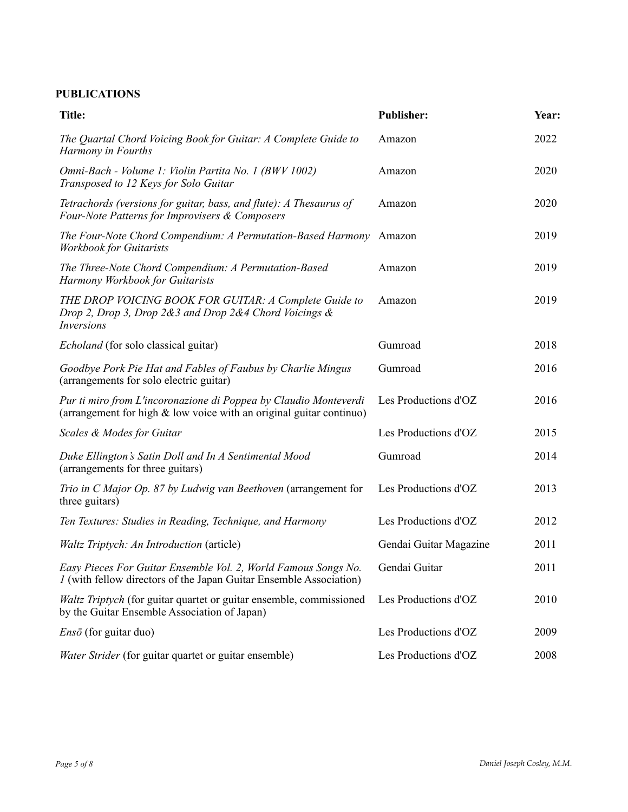# **PUBLICATIONS**

| <b>Title:</b>                                                                                                                               | <b>Publisher:</b>      | Year: |
|---------------------------------------------------------------------------------------------------------------------------------------------|------------------------|-------|
| The Quartal Chord Voicing Book for Guitar: A Complete Guide to<br>Harmony in Fourths                                                        | Amazon                 | 2022  |
| Omni-Bach - Volume 1: Violin Partita No. 1 (BWV 1002)<br>Transposed to 12 Keys for Solo Guitar                                              | Amazon                 | 2020  |
| Tetrachords (versions for guitar, bass, and flute): A Thesaurus of<br>Four-Note Patterns for Improvisers & Composers                        | Amazon                 | 2020  |
| The Four-Note Chord Compendium: A Permutation-Based Harmony<br><b>Workbook for Guitarists</b>                                               | Amazon                 | 2019  |
| The Three-Note Chord Compendium: A Permutation-Based<br>Harmony Workbook for Guitarists                                                     | Amazon                 | 2019  |
| THE DROP VOICING BOOK FOR GUITAR: A Complete Guide to<br>Drop 2, Drop 3, Drop 2&3 and Drop 2&4 Chord Voicings &<br><i>Inversions</i>        | Amazon                 | 2019  |
| <i>Echoland</i> (for solo classical guitar)                                                                                                 | Gumroad                | 2018  |
| Goodbye Pork Pie Hat and Fables of Faubus by Charlie Mingus<br>(arrangements for solo electric guitar)                                      | Gumroad                | 2016  |
| Pur ti miro from L'incoronazione di Poppea by Claudio Monteverdi<br>(arrangement for high $\&$ low voice with an original guitar continuo)  | Les Productions d'OZ   | 2016  |
| Scales & Modes for Guitar                                                                                                                   | Les Productions d'OZ   | 2015  |
| Duke Ellington's Satin Doll and In A Sentimental Mood<br>(arrangements for three guitars)                                                   | Gumroad                | 2014  |
| Trio in C Major Op. 87 by Ludwig van Beethoven (arrangement for<br>three guitars)                                                           | Les Productions d'OZ   | 2013  |
| Ten Textures: Studies in Reading, Technique, and Harmony                                                                                    | Les Productions d'OZ   | 2012  |
| Waltz Triptych: An Introduction (article)                                                                                                   | Gendai Guitar Magazine | 2011  |
| Easy Pieces For Guitar Ensemble Vol. 2, World Famous Songs No.<br><i>I</i> (with fellow directors of the Japan Guitar Ensemble Association) | Gendai Guitar          | 2011  |
| Waltz Triptych (for guitar quartet or guitar ensemble, commissioned<br>by the Guitar Ensemble Association of Japan)                         | Les Productions d'OZ   | 2010  |
| $Ens\bar{o}$ (for guitar duo)                                                                                                               | Les Productions d'OZ   | 2009  |
| Water Strider (for guitar quartet or guitar ensemble)                                                                                       | Les Productions d'OZ   | 2008  |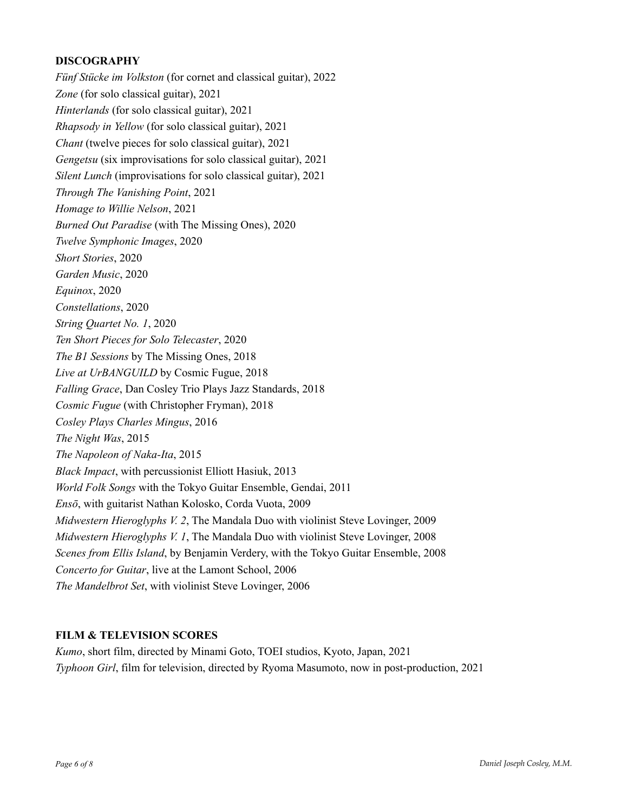# **DISCOGRAPHY**

*Fünf Stücke im Volkston* (for cornet and classical guitar), 2022 *Zone* (for solo classical guitar), 2021 *Hinterlands* (for solo classical guitar), 2021 *Rhapsody in Yellow* (for solo classical guitar), 2021 *Chant* (twelve pieces for solo classical guitar), 2021 *Gengetsu* (six improvisations for solo classical guitar), 2021 *Silent Lunch* (improvisations for solo classical guitar), 2021 *Through The Vanishing Point*, 2021 *Homage to Willie Nelson*, 2021 *Burned Out Paradise* (with The Missing Ones), 2020 *Twelve Symphonic Images*, 2020 *Short Stories*, 2020 *Garden Music*, 2020 *Equinox*, 2020 *Constellations*, 2020 *String Quartet No. 1*, 2020 *Ten Short Pieces for Solo Telecaster*, 2020 *The B1 Sessions* by The Missing Ones, 2018 *Live at UrBANGUILD* by Cosmic Fugue, 2018 *Falling Grace*, Dan Cosley Trio Plays Jazz Standards, 2018 *Cosmic Fugue* (with Christopher Fryman), 2018 *Cosley Plays Charles Mingus*, 2016 *The Night Was*, 2015 *The Napoleon of Naka-Ita*, 2015 *Black Impact*, with percussionist Elliott Hasiuk, 2013 *World Folk Songs* with the Tokyo Guitar Ensemble, Gendai, 2011 *Ensō*, with guitarist Nathan Kolosko, Corda Vuota, 2009 *Midwestern Hieroglyphs V. 2*, The Mandala Duo with violinist Steve Lovinger, 2009 *Midwestern Hieroglyphs V. 1*, The Mandala Duo with violinist Steve Lovinger, 2008 *Scenes from Ellis Island*, by Benjamin Verdery, with the Tokyo Guitar Ensemble, 2008 *Concerto for Guitar*, live at the Lamont School, 2006 *The Mandelbrot Set*, with violinist Steve Lovinger, 2006

## **FILM & TELEVISION SCORES**

*Kumo*, short film, directed by Minami Goto, TOEI studios, Kyoto, Japan, 2021 *Typhoon Girl*, film for television, directed by Ryoma Masumoto, now in post-production, 2021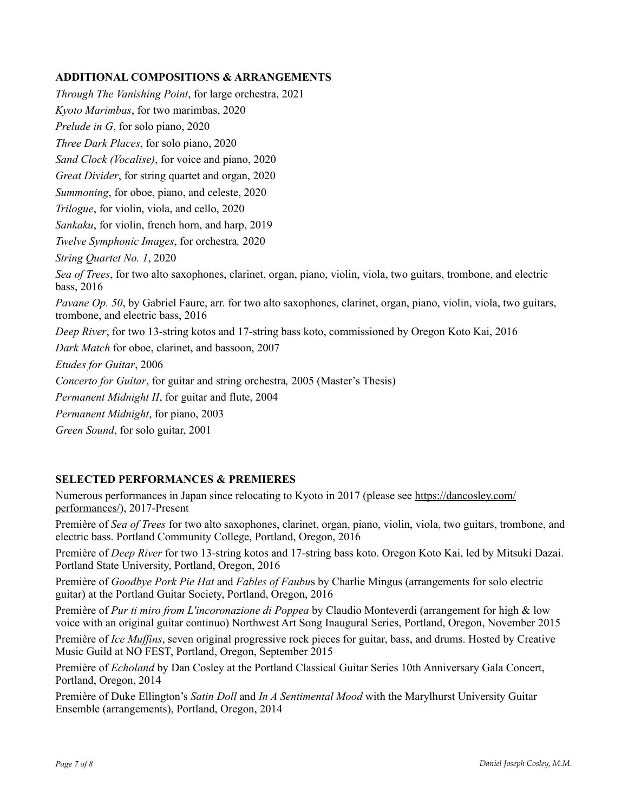# **ADDITIONAL COMPOSITIONS & ARRANGEMENTS**

*Through The Vanishing Point*, for large orchestra, 2021 *Kyoto Marimbas*, for two marimbas, 2020 *Prelude in G*, for solo piano, 2020 *Three Dark Places*, for solo piano, 2020 *Sand Clock (Vocalise)*, for voice and piano, 2020 *Great Divider*, for string quartet and organ, 2020 *Summoning*, for oboe, piano, and celeste, 2020 *Trilogue*, for violin, viola, and cello, 2020 *Sankaku*, for violin, french horn, and harp, 2019 *Twelve Symphonic Images*, for orchestra*,* 2020 *String Quartet No. 1*, 2020 *Sea of Trees*, for two alto saxophones, clarinet, organ, piano, violin, viola, two guitars, trombone, and electric bass, 2016 *Pavane Op. 50*, by Gabriel Faure, arr. for two alto saxophones, clarinet, organ, piano, violin, viola, two guitars, trombone, and electric bass, 2016 *Deep River*, for two 13-string kotos and 17-string bass koto, commissioned by Oregon Koto Kai, 2016 *Dark Match* for oboe, clarinet, and bassoon, 2007 *Etudes for Guitar*, 2006 *Concerto for Guitar*, for guitar and string orchestra*,* 2005 (Master's Thesis) *Permanent Midnight II*, for guitar and flute, 2004 *Permanent Midnight*, for piano, 2003 *Green Sound*, for solo guitar, 2001

# **SELECTED PERFORMANCES & PREMIERES**

Numerous performances in Japan since relocating to Kyoto in 2017 (please see [https://dancosley.com/](https://dancosley.com/performances/) [performances/\)](https://dancosley.com/performances/), 2017-Present

Première of *Sea of Trees* for two alto saxophones, clarinet, organ, piano, violin, viola, two guitars, trombone, and electric bass. Portland Community College, Portland, Oregon, 2016

Première of *Deep River* for two 13-string kotos and 17-string bass koto. Oregon Koto Kai, led by Mitsuki Dazai. Portland State University, Portland, Oregon, 2016

Première of *Goodbye Pork Pie Hat* and *Fables of Faubu*s by Charlie Mingus (arrangements for solo electric guitar) at the Portland Guitar Society, Portland, Oregon, 2016

Première of *Pur ti miro from L'incoronazione di Poppea* by Claudio Monteverdi (arrangement for high & low voice with an original guitar continuo) Northwest Art Song Inaugural Series, Portland, Oregon, November 2015

Première of *Ice Muffins*, seven original progressive rock pieces for guitar, bass, and drums. Hosted by Creative Music Guild at NO FEST, Portland, Oregon, September 2015

Première of *Echoland* by Dan Cosley at the Portland Classical Guitar Series 10th Anniversary Gala Concert, Portland, Oregon, 2014

Première of Duke Ellington's *Satin Doll* and *In A Sentimental Mood* with the Marylhurst University Guitar Ensemble (arrangements), Portland, Oregon, 2014